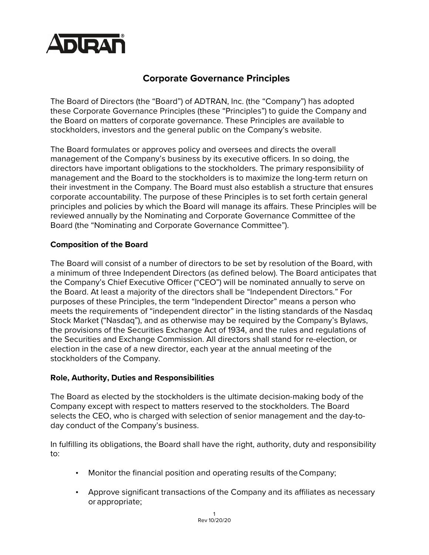

# **Corporate Governance Principles**

The Board of Directors (the "Board") of ADTRAN, Inc. (the "Company") has adopted these Corporate Governance Principles (these "Principles") to guide the Company and the Board on matters of corporate governance. These Principles are available to stockholders, investors and the general public on the Company's website.

The Board formulates or approves policy and oversees and directs the overall management of the Company's business by its executive officers. In so doing, the directors have important obligations to the stockholders. The primary responsibility of management and the Board to the stockholders is to maximize the long-term return on their investment in the Company. The Board must also establish a structure that ensures corporate accountability. The purpose of these Principles is to set forth certain general principles and policies by which the Board will manage its affairs. These Principles will be reviewed annually by the Nominating and Corporate Governance Committee of the Board (the "Nominating and Corporate Governance Committee").

## **Composition of the Board**

The Board will consist of a number of directors to be set by resolution of the Board, with a minimum of three Independent Directors (as defined below). The Board anticipates that the Company's Chief Executive Officer ("CEO") will be nominated annually to serve on the Board. At least a majority of the directors shall be "Independent Directors." For purposes of these Principles, the term "Independent Director" means a person who meets the requirements of "independent director" in the listing standards of the Nasdaq Stock Market ("Nasdaq"), and as otherwise may be required by the Company's Bylaws, the provisions of the Securities Exchange Act of 1934, and the rules and regulations of the Securities and Exchange Commission. All directors shall stand for re-election, or election in the case of a new director, each year at the annual meeting of the stockholders of the Company.

### **Role, Authority, Duties and Responsibilities**

The Board as elected by the stockholders is the ultimate decision-making body of the Company except with respect to matters reserved to the stockholders. The Board selects the CEO, who is charged with selection of senior management and the day-today conduct of the Company's business.

In fulfilling its obligations, the Board shall have the right, authority, duty and responsibility to:

- Monitor the financial position and operating results of the Company;
- Approve significant transactions of the Company and its affiliates as necessary or appropriate;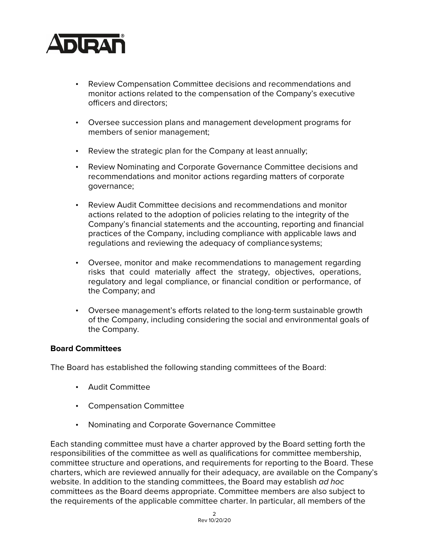

- Review Compensation Committee decisions and recommendations and monitor actions related to the compensation of the Company's executive officers and directors;
- Oversee succession plans and management development programs for members of senior management;
- Review the strategic plan for the Company at least annually;
- Review Nominating and Corporate Governance Committee decisions and recommendations and monitor actions regarding matters of corporate governance;
- Review Audit Committee decisions and recommendations and monitor actions related to the adoption of policies relating to the integrity of the Company's financial statements and the accounting, reporting and financial practices of the Company, including compliance with applicable laws and regulations and reviewing the adequacy of compliancesystems;
- Oversee, monitor and make recommendations to management regarding risks that could materially affect the strategy, objectives, operations, regulatory and legal compliance, or financial condition or performance, of the Company; and
- Oversee management's efforts related to the long-term sustainable growth of the Company, including considering the social and environmental goals of the Company.

### **Board Committees**

The Board has established the following standing committees of the Board:

- Audit Committee
- Compensation Committee
- Nominating and Corporate Governance Committee

Each standing committee must have a charter approved by the Board setting forth the responsibilities of the committee as well as qualifications for committee membership, committee structure and operations, and requirements for reporting to the Board. These charters, which are reviewed annually for their adequacy, are available on the Company's website. In addition to the standing committees, the Board may establish *ad hoc*  committees as the Board deems appropriate. Committee members are also subject to the requirements of the applicable committee charter. In particular, all members of the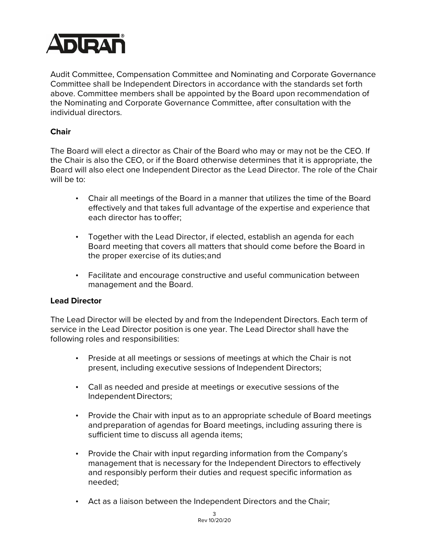

Audit Committee, Compensation Committee and Nominating and Corporate Governance Committee shall be Independent Directors in accordance with the standards set forth above. Committee members shall be appointed by the Board upon recommendation of the Nominating and Corporate Governance Committee, after consultation with the individual directors.

## **Chair**

The Board will elect a director as Chair of the Board who may or may not be the CEO. If the Chair is also the CEO, or if the Board otherwise determines that it is appropriate, the Board will also elect one Independent Director as the Lead Director. The role of the Chair will be to:

- Chair all meetings of the Board in a manner that utilizes the time of the Board effectively and that takes full advantage of the expertise and experience that each director has tooffer;
- Together with the Lead Director, if elected, establish an agenda for each Board meeting that covers all matters that should come before the Board in the proper exercise of its duties;and
- Facilitate and encourage constructive and useful communication between management and the Board.

### **Lead Director**

The Lead Director will be elected by and from the Independent Directors. Each term of service in the Lead Director position is one year. The Lead Director shall have the following roles and responsibilities:

- Preside at all meetings or sessions of meetings at which the Chair is not present, including executive sessions of Independent Directors;
- Call as needed and preside at meetings or executive sessions of the Independent Directors;
- Provide the Chair with input as to an appropriate schedule of Board meetings andpreparation of agendas for Board meetings, including assuring there is sufficient time to discuss all agenda items;
- Provide the Chair with input regarding information from the Company's management that is necessary for the Independent Directors to effectively and responsibly perform their duties and request specific information as needed;
- Act as a liaison between the Independent Directors and the Chair;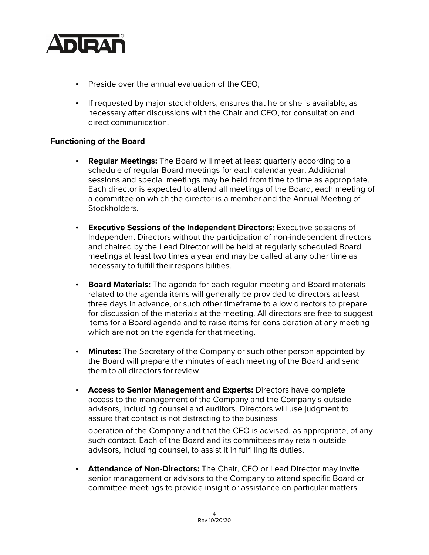

- Preside over the annual evaluation of the CEO;
- If requested by major stockholders, ensures that he or she is available, as necessary after discussions with the Chair and CEO, for consultation and direct communication.

## **Functioning of the Board**

- **Regular Meetings:** The Board will meet at least quarterly according to a schedule of regular Board meetings for each calendar year. Additional sessions and special meetings may be held from time to time as appropriate. Each director is expected to attend all meetings of the Board, each meeting of a committee on which the director is a member and the Annual Meeting of Stockholders.
- **Executive Sessions of the Independent Directors:** Executive sessions of Independent Directors without the participation of non-independent directors and chaired by the Lead Director will be held at regularly scheduled Board meetings at least two times a year and may be called at any other time as necessary to fulfill their responsibilities.
- **Board Materials:** The agenda for each regular meeting and Board materials related to the agenda items will generally be provided to directors at least three days in advance, or such other timeframe to allow directors to prepare for discussion of the materials at the meeting. All directors are free to suggest items for a Board agenda and to raise items for consideration at any meeting which are not on the agenda for that meeting.
- **Minutes:** The Secretary of the Company or such other person appointed by the Board will prepare the minutes of each meeting of the Board and send them to all directors forreview.
- **Access to Senior Management and Experts:** Directors have complete access to the management of the Company and the Company's outside advisors, including counsel and auditors. Directors will use judgment to assure that contact is not distracting to the business

operation of the Company and that the CEO is advised, as appropriate, of any such contact. Each of the Board and its committees may retain outside advisors, including counsel, to assist it in fulfilling its duties.

• **Attendance of Non-Directors:** The Chair, CEO or Lead Director may invite senior management or advisors to the Company to attend specific Board or committee meetings to provide insight or assistance on particular matters.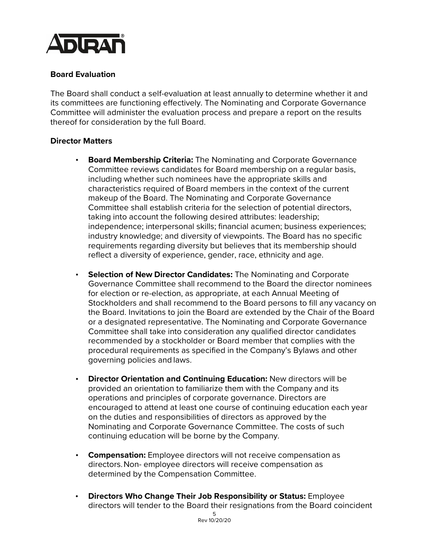

## **Board Evaluation**

The Board shall conduct a self-evaluation at least annually to determine whether it and its committees are functioning effectively. The Nominating and Corporate Governance Committee will administer the evaluation process and prepare a report on the results thereof for consideration by the full Board.

#### **Director Matters**

- **Board Membership Criteria:** The Nominating and Corporate Governance Committee reviews candidates for Board membership on a regular basis, including whether such nominees have the appropriate skills and characteristics required of Board members in the context of the current makeup of the Board. The Nominating and Corporate Governance Committee shall establish criteria for the selection of potential directors, taking into account the following desired attributes: leadership; independence; interpersonal skills; financial acumen; business experiences; industry knowledge; and diversity of viewpoints. The Board has no specific requirements regarding diversity but believes that its membership should reflect a diversity of experience, gender, race, ethnicity and age.
- **Selection of New Director Candidates:** The Nominating and Corporate Governance Committee shall recommend to the Board the director nominees for election or re-election, as appropriate, at each Annual Meeting of Stockholders and shall recommend to the Board persons to fill any vacancy on the Board. Invitations to join the Board are extended by the Chair of the Board or a designated representative. The Nominating and Corporate Governance Committee shall take into consideration any qualified director candidates recommended by a stockholder or Board member that complies with the procedural requirements as specified in the Company's Bylaws and other governing policies and laws.
- **Director Orientation and Continuing Education:** New directors will be provided an orientation to familiarize them with the Company and its operations and principles of corporate governance. Directors are encouraged to attend at least one course of continuing education each year on the duties and responsibilities of directors as approved by the Nominating and Corporate Governance Committee. The costs of such continuing education will be borne by the Company.
- **Compensation:** Employee directors will not receive compensation as directors.Non- employee directors will receive compensation as determined by the Compensation Committee.
- **Directors Who Change Their Job Responsibility or Status:** Employee directors will tender to the Board their resignations from the Board coincident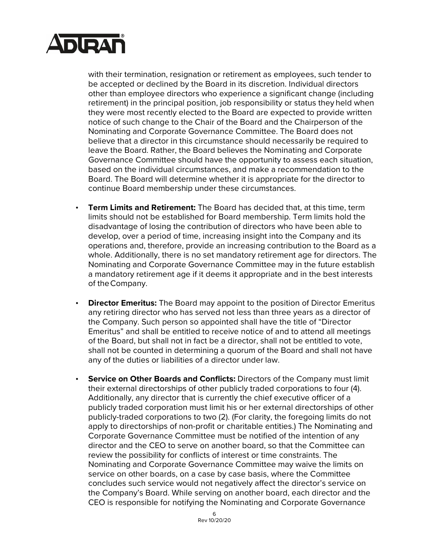

with their termination, resignation or retirement as employees, such tender to be accepted or declined by the Board in its discretion. Individual directors other than employee directors who experience a significant change (including retirement) in the principal position, job responsibility or status they held when they were most recently elected to the Board are expected to provide written notice of such change to the Chair of the Board and the Chairperson of the Nominating and Corporate Governance Committee. The Board does not believe that a director in this circumstance should necessarily be required to leave the Board. Rather, the Board believes the Nominating and Corporate Governance Committee should have the opportunity to assess each situation, based on the individual circumstances, and make a recommendation to the Board. The Board will determine whether it is appropriate for the director to continue Board membership under these circumstances.

- **Term Limits and Retirement:** The Board has decided that, at this time, term limits should not be established for Board membership. Term limits hold the disadvantage of losing the contribution of directors who have been able to develop, over a period of time, increasing insight into the Company and its operations and, therefore, provide an increasing contribution to the Board as a whole. Additionally, there is no set mandatory retirement age for directors. The Nominating and Corporate Governance Committee may in the future establish a mandatory retirement age if it deems it appropriate and in the best interests of theCompany.
- **Director Emeritus:** The Board may appoint to the position of Director Emeritus any retiring director who has served not less than three years as a director of the Company. Such person so appointed shall have the title of "Director Emeritus" and shall be entitled to receive notice of and to attend all meetings of the Board, but shall not in fact be a director, shall not be entitled to vote, shall not be counted in determining a quorum of the Board and shall not have any of the duties or liabilities of a director under law.
- **Service on Other Boards and Conflicts:** Directors of the Company must limit their external directorships of other publicly traded corporations to four (4). Additionally, any director that is currently the chief executive officer of a publicly traded corporation must limit his or her external directorships of other publicly-traded corporations to two (2). (For clarity, the foregoing limits do not apply to directorships of non-profit or charitable entities.) The Nominating and Corporate Governance Committee must be notified of the intention of any director and the CEO to serve on another board, so that the Committee can review the possibility for conflicts of interest or time constraints. The Nominating and Corporate Governance Committee may waive the limits on service on other boards, on a case by case basis, where the Committee concludes such service would not negatively affect the director's service on the Company's Board. While serving on another board, each director and the CEO is responsible for notifying the Nominating and Corporate Governance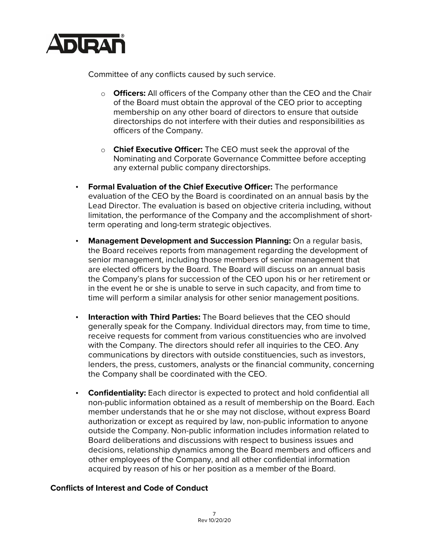

Committee of any conflicts caused by such service.

- o **Officers:** All officers of the Company other than the CEO and the Chair of the Board must obtain the approval of the CEO prior to accepting membership on any other board of directors to ensure that outside directorships do not interfere with their duties and responsibilities as officers of the Company.
- o **Chief Executive Officer:** The CEO must seek the approval of the Nominating and Corporate Governance Committee before accepting any external public company directorships.
- **Formal Evaluation of the Chief Executive Officer:** The performance evaluation of the CEO by the Board is coordinated on an annual basis by the Lead Director. The evaluation is based on objective criteria including, without limitation, the performance of the Company and the accomplishment of shortterm operating and long-term strategic objectives.
- **Management Development and Succession Planning:** On a regular basis, the Board receives reports from management regarding the development of senior management, including those members of senior management that are elected officers by the Board. The Board will discuss on an annual basis the Company's plans for succession of the CEO upon his or her retirement or in the event he or she is unable to serve in such capacity, and from time to time will perform a similar analysis for other senior management positions.
- **Interaction with Third Parties:** The Board believes that the CEO should generally speak for the Company. Individual directors may, from time to time, receive requests for comment from various constituencies who are involved with the Company. The directors should refer all inquiries to the CEO. Any communications by directors with outside constituencies, such as investors, lenders, the press, customers, analysts or the financial community, concerning the Company shall be coordinated with the CEO.
- **Confidentiality:** Each director is expected to protect and hold confidential all non-public information obtained as a result of membership on the Board. Each member understands that he or she may not disclose, without express Board authorization or except as required by law, non-public information to anyone outside the Company. Non-public information includes information related to Board deliberations and discussions with respect to business issues and decisions, relationship dynamics among the Board members and officers and other employees of the Company, and all other confidential information acquired by reason of his or her position as a member of the Board.

# **Conflicts of Interest and Code of Conduct**